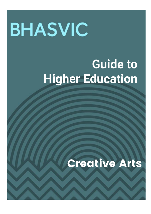# **BHASVIC**

# **Guide to Higher Education**

# Creative Arts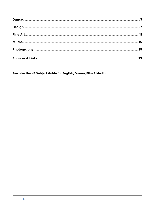See also the HE Subject Guide for English, Drama, Film & Media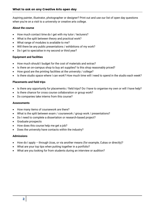Aspiring painter, illustrator, photographer or designer? Print out and use our list of open day questions when you're on a visit to a university or creative arts college.

#### **About the course**

- How much contact time do I get with my tutor / lecturers?
- What is the split between theory and practical work?
- What range of modules is available to me?
- Will there be any public presentations / exhibitions of my work?
- Do I get to specialise in my second or third year?

#### **Equipment and facilities**

- How much should I budget for the cost of materials and extras?
- Is there an on-campus shop to buy art supplies? Is this shop reasonably priced?
- How good are the printing facilities at the university / college?
- Is there studio space where I can work? How much time will I need to spend in the studio each week?

#### **Placements and field trips**

- Is there any opportunity for placements / field trips? Do I have to organise my own or will I have help?
- Is there chance for cross course collaboration or group work?
- Do companies take interns from this course?

#### **Assessments**

- How many items of coursework are there?
- What is the split between exam / coursework / group work / presentations?
- Do I need to complete a dissertation or research-based project?
- Graduate prospects
- How does this course help me get a job?
- Does the university have contacts within the industry?

#### **Admissions**

- How do I apply through Ucas, or via another means (for example, Cukas or directly)?
- What are your top tips when putting together in a portfolio?
- What are you looking for from students during an interview or audition?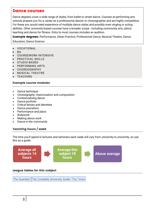#### Dance courses

Dance degrees cover a wide range of styles, from ballet to street dance. Courses at performing arts schools prepare you for a career as a professional dancer or choreographer and are highly competitive. For these you would need experience of multiple dance styles and possibly even singing or acting abilities. Other university-based courses have a broader scope - including community arts, dance teaching and dance for fitness. Entry to most courses includes an audition.

**Example degrees:** Performance, Urban Practice, Professional Dance, Musical Theatre, Dance

Education, Dance Science

#### VOCATIONAL

- BA
- COURSEWORK-INTENSIVE
- PRACTICAL SKILLS
- STUDIO-BASED
- PERFORMING ARTS
- CHOREOGRAPHY
- MUSICAL THEATRE
- TEACHING

#### Example course modules

- Dance technique
- Choreography: improvisation and composition
- Contextualising dance
- Dance portfolio
- Critical lenses and identities
- Dance journalism
- Performance and place
- Bodywork
- Making dance work
- Dance in the community

#### Teaching hours / week

The time you'll spend in lectures and seminars each week will vary from university to university, so use this as a guide.



The [Guardian](https://www.theguardian.com/education/ng-interactive/2017/may/16/university-league-tables-2018) The Complete [University](http://www.thecompleteuniversityguide.co.uk/league-tables/rankings?s=Architecture) Guide The [Times](https://www.thetimes.co.uk/article/top-by-subject-mgbnm672r)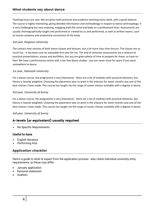#### What students say about dance

Teaching hours are vast. We are given both practical and academic teaching every week, with a great balance. The course is highly interesting, giving detailed information and methodology in respect to dance anthropology. It is very challenging but very enjoying, engaging both the mind and body on a professional level. Assessments are usually choreographically taught and performed or created by us and performed, as well as written exams, such as human anatomy and anatomical correctness of the body.

#### *3rd year, Kingston University*

The contact time consists of both dance classes and lectures, but a lot more class than lecture. The classes are so much fun - it has been such an enjoyable first year for me. The end of semester assessments are a mixture of practical presentations, essays and portfolios, but you are given plenty of time to prepare for these, so have no fear! We have a performance centre with a fair few dance studios - you are never stuck for space if you want somewhere to dance.

#### *1st year, Falmouth University*

For a dance course, the programme is very theoretical - there are a lot of modules with practical elements, but theory is heavily weighted. Choosing the placement year to work in the industry for seven months was one of the best choices I have made. This course has taught me the range of career choices available with a degree in dance.

#### *3rd year, University of Surrey*

For a dance course, the programme is very theoretical - there are a lot of modules with practical elements, but theory is heavily weighted. Choosing the placement year to work in the industry for seven months was one of the best choices I have made. This course has taught me the range of career choices available with a degree in dance.

#### *3rd year, University of Surrey*

#### A-levels (or equivalent) usually required

No Specific Requirements

#### **Useful to have**

- English literature
- Performing Arts

#### Application checklist

Here's a guide to what to expect from the application process - also check individual university entry requirements, as these may differ.

- January application
- Personal statement
- Audition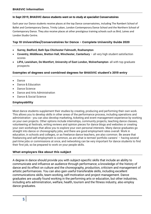#### **In Sept 2019, BHASVIC dance students went on to study at specialist Conservatoires**

Each year our Dance students receive places at the top Dance conservatoires, including The Rambert School of Ballet and Contemporary Dance, Trinity Laban, London Contemporary Dance School and the Northern School of Contemporary Dance. They also receive places at other prestigious training schools such as Bird, Laines and London Studio Centre.

#### Top 10 Universities/Conservatoires for Dance - Complete University Guide 2020

- **Surrey, Bedford, Bath Spa Chichester Falmouth, Roehampton**
- **Coventry, Middlesex, Bretton Hall, Winchester, Canterbury**  all very high student satisfaction scores
- **LIPA, Lewisham, De Montfort, University of East London, Wolverhampton** all with top graduate prospects

#### Examples of degrees and combined degrees for BHASVIC student's 2019 entry

- Dance
- Dance & Education
- Dance Science
- Dance and Arts Administration
- Dance & Social Science

#### **Employability**

Most dance students supplement their studies by creating, producing and performing their own work. This allows you to develop skills in other areas of the performance process, including operations and administration - you can also develop marketing, ticketing and event management experience by working on your own projects. Other options include internships, community projects, teaching dance classes, volunteering at festivals, writing reviews and opinion pieces for dance blogs and websites or creating your own workshops that allow you to explore your own personal interests. Many dance graduates go straight into dance or choreography jobs, and there are good employment rates overall. Work in education, in schools and colleges, or as freelance dance teachers, are also common. Be aware that freelancing and self-employment is common, as are what is termed 'portfolio careers' – having several part-time jobs or commissions at once, and networking can be very important for dance students to find their first job, so be prepared to work on your people skills.

#### What employers like about this subject

A degree in dance should provide you with subject-specific skills that include an ability to communicate and influence an audience through performance; a knowledge of the history of dance and its effect on culture and the choreography, production, criticism and management of artistic performances. You can also gain useful transferable skills, including excellent communications skills, team-working, self-motivation and project management. Dance graduates are usually found working in the performing arts or education, but other industries, including arts administration, welfare, health, tourism and the fitness industry, also employ dance graduates.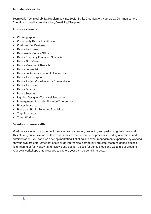Teamwork, Technical ability, Problem solving, Social Skills, Organisation, Numeracy, Communication, Attention to detail, Administration, Creativity, Discipline

#### Example careers

- Choreographer
- Community Dance Practitioner
- Costume/Set Designer
- Dance Performer
- Dance/Arts/Culture Officer
- Dance Company Education Specialist
- Dance Film Maker
- Dance Movement Therapist
- Dance Journalist
- Dance Lecturer or Academic Researcher
- Dance Photographer
- Dance Project Coordinator or Administrator
- Dance Producer
- Dance Science
- Dance Teacher
- Lighting Designer/Technical Production
- Management Specialist Notation/Choreology
- Pilates Instructor
- Press and Public Relations Specialist
- Yoga Instructor
- Youth Worker

#### Developing your skills

Most dance students supplement their studies by creating, producing and performing their own work. This allows you to develop skills in other areas of the performance process, including operations and administration - you can also develop marketing, ticketing and event management experience by working on your own projects. Other options include internships, community projects, teaching dance classes, volunteering at festivals, writing reviews and opinion pieces for dance blogs and websites or creating your own workshops that allow you to explore your own personal interests.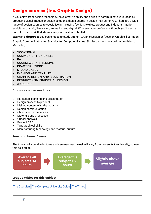# Design courses (inc. Graphic Design)

If you enjoy art or design technology, have creative ability and a wish to communicate your ideas by producing visual images or design solutions, then a degree in design may be for you. There are a wide range of design courses to specialise in, including fashion, textiles, product and industrial, interior, exhibition, graphic, illustration, animation and digital. Whatever your preference, though, you'll need a portfolio of artwork that showcases your creative potential.

**Example degrees:** You can choose to study straight Graphic Design or focus on Graphic illustration,

Graphic Communication for Graphics for Computer Games. Similar degrees may be in Advertising or Marketing

- VOCATIONAL
- COMMUNICATION SKILLS
- BA
- COURSEWORK-INTENSIVE
- PRACTICAL WORK
- STUDIO-BASED
- FASHION AND TEXTILES
- GRAPHIC DESIGN AND ILLUSTRATION
- PRODUCT AND INDUSTRIAL DESIGN
- 3D DESIGN

#### Example course modules

- Reflection, planning and presentation
- Design process to product
- Making contact with the industry
- Design communication
- Objects and experiences
- Materials and processes
- Critical analysis
- Product CAD
- Typographical skills
- Manufacturing technology and material culture

#### Teaching hours / week

The time you'll spend in lectures and seminars each week will vary from university to university, so use this as a guide.



#### League tables for this subject

The [Guardian](https://www.theguardian.com/education/ng-interactive/2017/may/16/university-league-tables-2018) The Complete [University](http://www.thecompleteuniversityguide.co.uk/league-tables/rankings?s=Architecture) Guide The [Times](https://www.thetimes.co.uk/article/top-by-subject-mgbnm672r)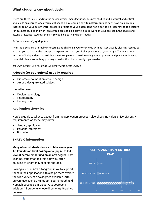There are three key strands to the course design/manufacturing, business studies and historical and critical studies. In an average week you might spend a day learning how to pattern, cut and sew; have an individual tutorial about your design work; present a project to your class; spend half a day doing research; go to a lecture for business studies and work on a group project; do a drawing class; work on your project in the studio and attend a historical studies seminar. So you'll be busy and learn loads!

#### *3rd year, University of Brighton*

The studio sessions are really interesting and challenge you to come up with not just visually pleasing results, but also get you to look at the conceptual aspects and social/ethical implications of your design. There is a good mixture of independent and collaborative/group work, as well learning how to present and pitch your ideas to potential clients, something you may dread at first, but honestly it gets easier!

*1st year, Central Saint Martins, University of the Arts London*

#### A-levels (or equivalent) usually required

- Diploma in foundation art and design
- Art or a design-related subject

#### **Useful to have**

- Design technology
- Photography
- History of art

#### Application checklist

Here's a guide to what to expect from the application process - also check individual university entry requirements, as these may differ.

- January application
- Personal statement
- Portfolio

#### BHASVIC information

**Many of our students choose to take a one year Art Foundation level 3/4 Diploma (equiv. to 2 A levels) before embarking on an arts degree.** Last year 100 students took this pathway, often studying at Brighton Met or Northbrook.

Joining a Visual Arts tutor group in A2 to support them in their applications, this helps them explore the wide variety of arts degrees available. Arts universities such as Falmouth, Bournemouth and Norwich specialise in Visual Arts courses. In addition, 12 students chose direct entry Graphics degrees.

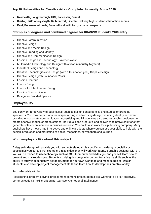#### Top 10 Universities for Creative Arts - Complete University Guide 2020

- **Newcastle, Loughborough, UCL, Lancaster, Brunel**
- **Bristol, UWE, Aberystwyth, De Montfort, Lincoln** all very high student satisfaction scores
- **Kent, Bournemouth Arts, Falmouth**  all with top graduate prospects

#### Examples of degrees and combined degrees for BHASVIC student's 2019 entry

- Graphic Communication
- Graphic Design
- Graphic and Media Design
- Graphic Branding and Identity
- Graphic and Communication Design
- Fashion Design and Technology Womenswear
- Multimedia Technology and Design with a year in Industry (4 years)
- Industrial Design and Technology
- Creative Technologies and Design (with a foundation year) Graphic Design
- Graphic Design (with Foundation Year)
- Fashion Contour
- Interior Design
- Interior Architecture and Design
- Fashion Communication
- Design for Branded Spaces

#### Employability

You can work for a variety of businesses, such as design consultancies and studios or branding specialists. You may be part of a team specialising in advertising design, including identity and event branding or corporate communication. Advertising and PR agencies also employ graphic designers to create positive images of organisations, individuals and products, and deliver imaginative solutions that generate sales or an increase in business interest. You could also work for a publishing company. Many publishers have moved into interactive and online products where you can use your skills to help with the design, production and marketing of books, magazines, newspapers and journals.

#### What employers like about this subject

A degree in design will provide you with subject-related skills specific to the design speciality or specialities you pursue. For example, a textile designer will work with fabric, a graphic designer with art. You will be trained to use technology such as CAD (computer-aided design), and you will learn how to present and market designs. Students studying design gain important transferable skills such as the ability to study independently, set goals, manage your own workload and meet deadlines. Design students also develop project management skills and learn how to develop their creative ability.

#### Transferable skills

Researching, problem solving, project management, presentation skills, working to a brief, creativity, communication, IT skills, critiquing, teamwork, emotional intelligence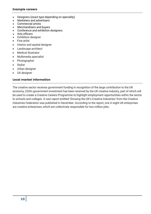#### Example careers

- Designers (exact type depending on speciality)
- Marketers and advertisers
- Commercial artists
- Merchandisers and buyers
- Conference and exhibition designers
- Arts officers
- Exhibition designer
- Fine artist
- Interior and spatial designer
- Landscape architect
- Medical illustrator
- Multimedia specialist
- Photographer
- Stylist
- Urban designer
- UX designer

#### Local market information

The creative sector receives government funding in recognition of the large contribution to the UK economy, £20m government investment has been received by the UK creative industry, part of which will be used to create a Creative Careers Programme to highlight employment opportunities within the sector to schools and colleges. A new report entitled 'Growing the UK's Creative Industries' from the Creative Industries Federation was published in December. According to the report, one in eight UK enterprises are creative enterprises, which are collectively responsible for two million jobs.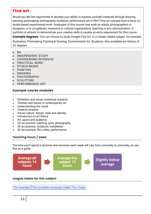### Fine art

Would you like the opportunity to develop your ability to express yourself creatively through drawing, painting, printmaking, photography, sculpture, performance art or film? Fine art courses have a focus on studio-based experimental work. Graduates of this course may work as artists, photographers or designers, or in art galleries, museums or cultural organisations, teaching or arts administration. A portfolio of artwork to demonstrate your creative skills is usually an entry requirement for this course.

**Example degrees:** You can choose to study straight Fine Art or a closely related subject, for example Illustration, Printmaking, Painting & Drawing, Environmental Art, Sculpture. Also available are History of Art degrees

- $-BA$
- INDEPENDENT STUDY
- COURSEWORK-INTENSIVE
- PRACTICAL WORK
- STUDIO-BASED
- PAINTING
- DRAWING
- PHOTOGRAPHY
- **SCULPTURE**
- PERFORMANCE ART

#### Example course modules

- Exhibition and visual contextual research
- Themes and issues in contemporary art
- Understanding the visual
- Creative analysis
- Visual culture: design, style and identity
- Introduction to art theory
- Art, space and audience
- 2D art practice: painting, print, photography
- 3D art practice: sculpture, installation
- 4D art practice: film, video, performance

#### Teaching hours / week

The time you'll spend in lectures and seminars each week will vary from university to university, so use this as a guide.



#### League tables for this subject

The [Guardian](https://www.theguardian.com/education/ng-interactive/2017/may/16/university-league-tables-2018) || The Complete [University](http://www.thecompleteuniversityguide.co.uk/league-tables/rankings?s=Architecture) Guide || The [Times](https://www.thetimes.co.uk/article/top-by-subject-mgbnm672r)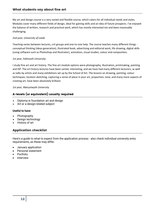#### What students say about fine art

My art and design course is a very varied and flexible course, which caters for all individual needs and styles. Modules cover many different fields of design, ideal for gaining skills and an idea of future prospects. I've enjoyed the balance of written, research and practical work, which has mostly interested me and been reasonably challenging.

#### *2nd year, University of Leeds*

Teaching varies between lectures, crit groups and one-to-one help. The course teaches many different things conceptual thinking (ideas generation), illustrated book, advertising and editorial work, life drawing, digital skills (using software such as Photoshop and Illustrator), animation, visual studies, colour and composition.

#### *1st year, Falmouth University*

I study fine art and art history. The fine art module options were photography, illustration, printmaking, painting and ISP. The art history lectures have been varied, interesting, and we have had many different lecturers, as well as talks by artists and many exhibitions set up by the School of Art. The lessons on drawing, painting, colour techniques, location sketching, capturing a sense of place in your art, proportion, tone, and many more aspects of creating art, have been absolutely brilliant.

#### *1st year, Aberystwyth University*

#### A-levels (or equivalent) usually required

- Diploma in foundation art and design
- Art or a design-related subject

#### **Useful to have**

- Photography
- Design technology
- History of art

#### Application checklist

Here's a guide to what to expect from the application process - also check individual university entry requirements, as these may differ.

- January application
- Personal statement
- Portfolio
- Interview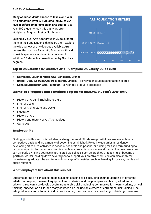#### BHASVIC information

**Many of our students choose to take a one year Art Foundation level 3/4 Diploma (equiv. to 2 A levels) before embarking on an arts degree.** Last year 100 students took this pathway, often studying at Brighton Met or Northbrook.

Joining a Visual Arts tutor group in A2 to support them in their applications, this helps them explore the wide variety of arts degrees available. Arts universities such as Falmouth, Bournemouth and Norwich specialise in Visual Arts courses. In addition, 12 students chose direct entry Graphics degrees.



#### Top 10 Universities for Creative Arts - Complete University Guide 2020

- **Newcastle, Loughborough, UCL, Lancaster, Brunel**
- **Bristol, UWE, Aberystwyth, De Montfort, Lincoln** all very high student satisfaction scores
- **Kent, Bournemouth Arts, Falmouth**  all with top graduate prospects

#### Examples of degrees and combined degrees for BHASVIC student's 2019 entry

- **•** History of Art and English Literature
- Interior Design
- Interior Architecture and Design
- Illustration
- History of Art
- History and History of Art/Archaeology
- Game Art

#### Employability

Finding jobs in this sector is not always straightforward. Short-term possibilities are available on a competitive basis and are a means of becoming established. Roles include artist in residence, developing art-related activities in schools, hospitals and prisons, or bidding for fixed-term funding to carry out a particular project or commission. Many fine artists produce and market their own work. You can diversify by taking courses in art-related disciplines, such as graphics or teaching, or become a 'portfolio' worker, holding down several jobs to support your creative work. You can also apply for mainstream graduate jobs and training in a range of industries, such as banking, insurance, media and public relations.

#### What employers like about this subject

Students of fine art can expect to gain subject-specific skills including an understanding of different artistic techniques; the use of equipment and materials and the principles and history of art and art criticism. You can also develop useful transferable skills including communication, team-working, critical thinking, observation skills, and many courses also include an element of entrepreneurial training. Fine arts graduates can be found in industries including the creative arts, advertising, publishing, museums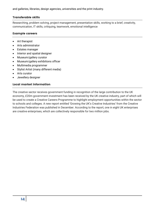and galleries, libraries, design agencies, universities and the print industry.

#### Transferable skills

Researching, problem solving, project management, presentation skills, working to a brief, creativity, communication, IT skills, critiquing, teamwork, emotional intelligence

#### Example careers

- Art therapist
- Arts administrator
- Estates manager
- Interior and spatial designer
- Museum/gallery curator
- Museum/gallery exhibitions officer
- Multimedia programmer
- Stylist Artist (many different media)
- Arts curator
- Jewellery designer

#### Local market information

The creative sector receives government funding in recognition of the large contribution to the UK economy, £20m government investment has been received by the UK creative industry, part of which will be used to create a Creative Careers Programme to highlight employment opportunities within the sector to schools and colleges. A new report entitled 'Growing the UK's Creative Industries' from the Creative Industries Federation was published in December. According to the report, one in eight UK enterprises are creative enterprises, which are collectively responsible for two million jobs.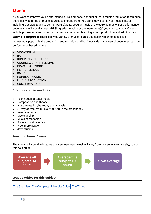### Music

If you want to improve your performance skills, compose, conduct or learn music production techniques there is a wide range of music courses to choose from. You can study a variety of musical styles including classical (early to contemporary), jazz, popular music and electronic music. For performance courses you will usually need ABRSM grades in voice or the instrument(s) you want to study. Careers include professional musician, composer or conductor, teaching, music production and administration.

**Example degrees:** There is a wide variety of music-related degrees in which to specialise.

Increasingly popular is the production and technical and business side or you can choose to embark on performance based degree.

- VOCATIONAL
- **BA**
- INDEPENDENT STUDY
- COURSEWORK-INTENSIVE
- PRACTICAL WORK
- PERFORMANCE
- **BMUS**
- POPULAR MUSIC
- MUSIC PRODUCTION
- CONSERVATOIRE

#### Example course modules

- Techniques of tonal music
- Composition and theory
- Instrumentation, harmony and analysis
- Survey of western music: 900D AD to the present day
- New directions
- Musicianship
- Music composition
- Popular music studies
- Free improvisation
- Jazz studies

#### Teaching hours / week

The time you'll spend in lectures and seminars each week will vary from university to university, so use this as a guide.



#### League tables for this subject

The [Guardian](https://www.theguardian.com/education/ng-interactive/2017/may/16/university-league-tables-2018) The Complete [University](http://www.thecompleteuniversityguide.co.uk/league-tables/rankings?s=Architecture) Guide The [Times](https://www.thetimes.co.uk/article/top-by-subject-mgbnm672r)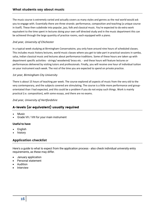The music course is extremely varied and actually covers as many styles and genres as the real world would ask you to engage with. Essentially there are three strands: performance, composition and teaching (a unique course in itself). These then subdivide into popular, jazz, folk and classical music. You're expected to do extra work equivalent to the time spent in lectures doing your own self directed study and in the music department this can be achieved through the large quantity of practice rooms, each equipped with a piano.

#### *2nd year, University of Chichester*

In a typical week studying at Birmingham Conservatoire, you only have around nine hours of scheduled classes. This includes music history lectures, world music classes where you get to take part in practical sessions in samba, salsa, indian classical music and lectures about performance traditions. Some of these hours are taken up with department specific activities - strings/ woodwind/ brass etc. - and these hours will feature lectures or performances delivered by visiting tutors and professionals. Finally, you will receive one hour of individual tuition on your instrument each week. The rest of the time you are expected to spend on private practice.

#### *1st year, Birmingham City University*

There is about 15 hours of teaching per week. The course explored all aspects of music from the very old to the very contemporary, and the subjects covered are stimulating. The course is a little more performance and grouporientated than I had expected, and this could be a problem if you do not enjoy such things. Work is mainly practical (i.e. composition), with some essays, and there are no exams.

*2nd year, University of Hertfordshire*

#### A-levels (or equivalent) usually required

- Music
- Grade VII / VIII for your main instrument

#### **Useful to have**

- English
- history

#### Application checklist

Here's a guide to what to expect from the application process - also check individual university entry requirements, as these may differ.

- January application
- Personal statement
- Audition
- Interview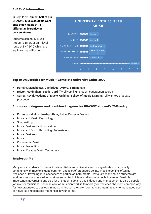#### BHASVIC information

**In Sept 2019, almost half of our BHASVIC Music students went onto study Music at 11 different universities or conservatoires.**

Students can study Music through a BTEC or an A level route at BHASVIC which are equivalent qualifications.

| <b>UNIVERSITY ENTRIES 2019</b><br><b>MUSIC</b> |                          |                              |   |                |   |         |  |
|------------------------------------------------|--------------------------|------------------------------|---|----------------|---|---------|--|
| <b>SALFORD</b>                                 |                          | <b>WINING</b> Salford, 1     |   |                |   |         |  |
| <b>SURREY</b>                                  | <i>mmm</i>               | Surrey, 1                    |   |                |   |         |  |
| <b>SOUTHAMPTON</b>                             |                          | <b>WILLIA</b> Southampton, 1 |   |                |   |         |  |
| <b>OXFORD BROOKES</b>                          | muum                     | Oxford Brookes,              |   |                |   |         |  |
| <b>CHICHESTER</b>                              |                          | <b>WILLIAM</b> Chichester, 1 |   |                |   |         |  |
| <b>BIMM</b>                                    |                          |                              |   |                |   | BIMM, 6 |  |
|                                                | $\Omega$<br>$\mathbf{1}$ | $\overline{2}$               | 3 | $\overline{4}$ | 5 | 6       |  |

#### Top 10 Universities for Music - Complete University Guide 2020

- **Durham, Manchester, Cambridge, Oxford, Birmingham**
- **Bristol, Nottingham, Leeds, Cardiff**  all very high student satisfaction scores
- **Surrey, Royal Academy of Music, Guildhall School of Music & Drama**  all with top graduate prospects

#### Examples of degrees and combined degrees for BHASVIC student's 2019 entry

- Professional Musicianship Bass, Guitar, Drums or Vocals
- Music and Music Psychology
- Song writing
- Music Business and Innovation
- Music and Sound Recording (Tonmeister)
- Music Business
- Music
- Commercial Music
- Music Production
- Music: Creative Music Technology

#### Employability

Many music students find work in related fields and university and postgraduate study (usually continuing with music) is quite common and a lot of graduates go into music teaching, often as freelance or travelling music teachers of particular instruments. Obviously, many music students get work as musicians as well, or work as sound technicians and in similar technical roles. Music is important in advertising and so a lot of students go into this industry and management is also a popular job role for musicians. Because a lot of musician work is temporary or freelance, the most common way for new graduates to get jobs in music is through their own contacts, so learning how to make good use of networks and contacts might help in your career.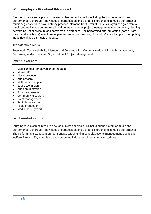#### What employers like about this subject

Studying music can help you to develop subject-specific skills including the history of music and performance, a thorough knowledge of composition and a practical grounding in music performance music degrees tend to have a strong practical element. Useful transferable skills you can gain from a music degree include communication, time management, project management, team-working, planning, performing under pressure and commercial awareness. The performing arts, education (both private tuition and in schools), events management, social and welfare, film and TV, advertising and computing industries all recruit music graduates.

#### Transferable skills

Teamwork, Technical ability, Memory and Concentration, Communication skills, Self-management, Performing under pressure - Organisation & Project Management

#### Example careers

- Musician (self-employed or contracted)
- Music tutor
- Music producer
- Arts officers
- Multimedia designer
- Sound technician
- Arts administration
- Sound engineering
- Community arts work
- Event management
- Radio broadcasting
- Radio production
- Media Industry work

#### Local market information

Studying music can help you to develop subject-specific skills including the history of music and performance, a thorough knowledge of composition and a practical grounding in music performance. The performing arts, education (both private tuition and in schools), events management, social and welfare, film and TV, advertising and computing industries all recruit music students.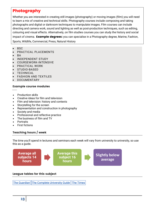## Photography

Whether you are interested in creating still images (photography) or moving images (film) you will need to learn a mix of creative and technical skills. Photography courses include composing and taking photographs and digital or darkroom techniques to manipulate images. Film courses can include directing and camera work, sound and lighting as well as post-production techniques, such as editing, colouring and visual effects. Alternatively, on film studies courses you can study the history and social impact of cinema. Example degrees: you can specialise in a Photography degree, Marine, Fashion, Sports, Wildlife, Commercial, Press, Natural History

 $-BSC$ 

- PRACTICAL PLACEMENTS
- R A
- INDEPENDENT STUDY
- COURSEWORK-INTENSIVE
- PRACTICAL WORK
- STUDIO-BASED
- **TECHNICAL**
- FASHION AND TEXTILES
- DOCUMENTARY

#### Example course modules

- Production skills
- Creative ideas for film and television
- Film and television: history and contexts
- Storytelling for the screen
- Representation and construction in photography
- Society and media
- Professional and reflective practice
- The business of film and TV
- **Portraits**
- First fictions

#### Teaching hours / week

The time you'll spend in lectures and seminars each week will vary from university to university, so use this as a guide.



The [Guardian](https://www.theguardian.com/education/ng-interactive/2017/may/16/university-league-tables-2018)  $||$  The Complete [University](http://www.thecompleteuniversityguide.co.uk/league-tables/rankings?s=Architecture) Guide  $||$  The [Times](https://www.thetimes.co.uk/article/top-by-subject-mgbnm672r)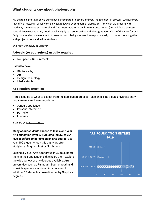My degree in photography is quite specific compared to others and very independent in process. We have very few official lectures - usually once a week followed by seminars of discussion - for which we prepare with readings, summaries etc. beforehand. The guest lectures brought to our department (around four a semester) have all been exceptionally good, usually highly successful artists and photographers. Most of the work for us is fairly independent development of projects that is being discussed in regular weekly critique sessions together with project tutors and fellow students.

#### *2nd year, University of Brighton*

#### A-levels (or equivalent) usually required

No Specific Requirements

#### **Useful to have**

- Photography
- Art
- Design technology
- Media studies

#### Application checklist

Here's a guide to what to expect from the application process - also check individual university entry requirements, as these may differ.

- January application
- Personal statement
- Portfolio
- Interview

#### BHASVIC information

**Many of our students choose to take a one year Art Foundation level 3/4 Diploma (equiv. to 2 A levels) before embarking on an arts degree.** Last year 100 students took this pathway, often studying at Brighton Met or Northbrook.

Joining a Visual Arts tutor group in A2 to support them in their applications, this helps them explore the wide variety of arts degrees available. Arts universities such as Falmouth, Bournemouth and Norwich specialise in Visual Arts courses. In addition, 12 students chose direct entry Graphics degrees.

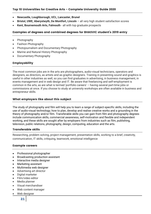- **Newcastle, Loughborough, UCL, Lancaster, Brunel**
- **Bristol, UWE, Aberystwyth, De Montfort, Lincoln**  all very high student satisfaction scores
- **Kent, Bournemouth Arts, Falmouth**  all with top graduate prospects

#### Examples of degrees and combined degrees for BHASVIC student's 2019 entry

- Photography
- Fashion Photography
- Photojournalism and Documentary Photography
- Marine and Natural History Photography
- Documentary Photography

#### Employability

The most common jobs are in the arts are photographers, audio-visual technicians, operators and designers, as directors, as artists and as graphic designers. Training in presenting sound and graphics is useful in other industries as well, so you can find graduates in advertising, in business management, in events management and in web design and IT. Be aware that freelancing and self-employment is common in the arts, as are what is termed 'portfolio careers' – having several part-time jobs or commissions at once. If you choose to study at university workshops are often available in business and entrepreneur skills.

#### What employers like about this subject

The study of photography and film will help you to learn a range of subject-specific skills, including the use of audio-visual technology; how to plan, develop and realise creative works and a grounding in the theory of photography and/or film. Transferable skills you can gain from film and photography degrees include communication skills, commercial awareness, self-motivation and flexible and independent working, and these skills are sought after by employers from industries such as film, publishing, television, public relations, photography, design, computing, education and the arts.

#### Transferable skills

Researching, problem solving, project management, presentation skills, working to a brief, creativity, communication, IT skills, critiquing, teamwork, emotional intelligence

#### Example careers

- Professional photographer
- Broadcasting production assistant
- Interactive media designer
- Marketing assistant
- Multimedia web designer
- Advertising art director
- Digital marketer
- Film/video editor
- Media planner
- Visual merchandiser
- Web content manager
- Web designer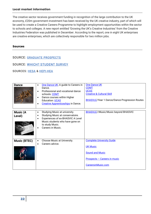#### Local market information

The creative sector receives government funding in recognition of the large contribution to the UK economy, £20m government investment has been received by the UK creative industry, part of which will be used to create a Creative Careers Programme to highlight employment opportunities within the sector to schools and colleges. A new report entitled 'Growing the UK's Creative Industries' from the Creative Industries Federation was published in December. According to the report, one in eight UK enterprises are creative enterprises, which are collectively responsible for two million jobs.

#### Sources

#### SOURCE: GRADUATE [PROSPECTS](https://university.which.co.uk/about/who-we-work-with#graduate-prospects)

SOURCE: WHICH? [STUDENT](https://university.which.co.uk/about/where-we-get-our-info#which-student-survey) SURVEY

SOURCES: [HESA](https://university.which.co.uk/about/where-we-get-our-info#hesa-student-record) & [HEPI-HEA](https://university.which.co.uk/about/where-we-get-our-info#hepi-hea)

| <b>Dance</b>              | One Dance UK; A guide to Careers in<br>$\bullet$<br>Dance.<br>Professional and vocational dance<br>schools: CDMT<br>Dance courses within Higher<br>Education: UCAS<br><b>Creative Apprenticeships in Dance.</b> | <b>One Dance UK</b><br><b>CDMT</b><br><b>UCAS</b><br><b>Creative &amp; Cultural Skill</b><br><b>BHASVLE/Year 1 Dance/Dance Progression Routes</b> |
|---------------------------|-----------------------------------------------------------------------------------------------------------------------------------------------------------------------------------------------------------------|---------------------------------------------------------------------------------------------------------------------------------------------------|
| <b>Music (A</b><br>Level) | Studying Music at university.<br>$\bullet$<br>Studying Music at conservatoire.<br>Experiences of ex-BHASVIC A Level<br>٠<br>Music students who have gone on<br>to study Music.<br>Careers in Music.             | BHASVLE//Music/Music beyond BHASVIC                                                                                                               |
| <b>Music (BTEC)</b>       | Choose Music at University.<br>$\bullet$<br>Careers advice.<br>$\bullet$                                                                                                                                        | <b>Complete University Guide</b><br><b>UK Music</b><br><b>Sound and Music</b><br><u> Prospects - Careers in music</u><br>CareersinMusic.com       |